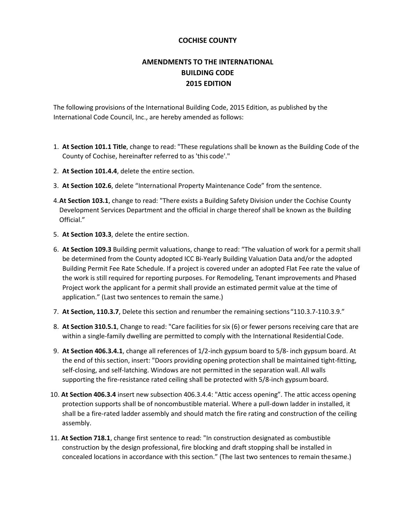# **AMENDMENTS TO THE INTERNATIONAL BUILDING CODE 2015 EDITION**

The following provisions of the International Building Code, 2015 Edition, as published by the International Code Council, Inc., are hereby amended as follows:

- 1. **At Section 101.1 Title**, change to read: "These regulations shall be known as the Building Code of the County of Cochise, hereinafter referred to as 'this code'."
- 2. **At Section 101.4.4**, delete the entire section.
- 3. **At Section 102.6**, delete "International Property Maintenance Code" from the sentence.
- 4.**At Section 103.1**, change to read: "There exists a Building Safety Division under the Cochise County Development Services Department and the official in charge thereof shall be known as the Building Official."
- 5. **At Section 103.3**, delete the entire section.
- 6. **At Section 109.3** Building permit valuations, change to read: "The valuation of work for a permit shall be determined from the County adopted ICC Bi-Yearly Building Valuation Data and/or the adopted Building Permit Fee Rate Schedule. If a project is covered under an adopted Flat Fee rate the value of the work is still required for reporting purposes. For Remodeling, Tenant improvements and Phased Project work the applicant for a permit shall provide an estimated permit value at the time of application." (Last two sentences to remain the same.)
- 7. **At Section, 110.3.7**, Delete this section and renumber the remaining sections "110.3.7-110.3.9."
- 8. **At Section 310.5.1**, Change to read: "Care facilities for six (6) or fewer persons receiving care that are within a single-family dwelling are permitted to comply with the International Residential Code.
- 9. **At Section 406.3.4.1**, change all references of 1/2-inch gypsum board to 5/8- inch gypsum board. At the end of this section, insert: "Doors providing opening protection shall be maintained tight-fitting, self-closing, and self-latching. Windows are not permitted in the separation wall. All walls supporting the fire-resistance rated ceiling shall be protected with 5/8-inch gypsumboard.
- 10. **At Section 406.3.4** insert new subsection 406.3.4.4: "Attic access opening". The attic access opening protection supports shall be of noncombustible material. Where a pull-down ladder in installed, it shall be a fire-rated ladder assembly and should match the fire rating and construction of the ceiling assembly.
- 11. **At Section 718.1**, change first sentence to read: "In construction designated as combustible construction by the design professional, fire blocking and draft stopping shall be installed in concealed locations in accordance with this section." (The last two sentences to remain thesame.)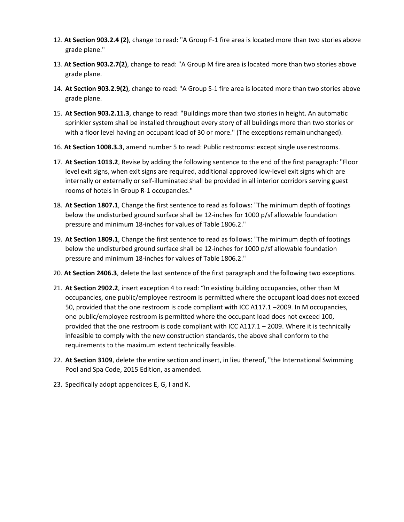- 12. **At Section 903.2.4 (2)**, change to read: "A Group F-1 fire area is located more than two stories above grade plane."
- 13. **At Section 903.2.7(2)**, change to read: "A Group M fire area is located more than two stories above grade plane.
- 14. **At Section 903.2.9(2)**, change to read: "A Group S-1 fire area is located more than two stories above grade plane.
- 15. **At Section 903.2.11.3**, change to read: "Buildings more than two stories in height. An automatic sprinkler system shall be installed throughout every story of all buildings more than two stories or with a floor level having an occupant load of 30 or more." (The exceptions remainunchanged).
- 16. **At Section 1008.3.3**, amend number 5 to read: Public restrooms: except single use restrooms.
- 17. **At Section 1013.2**, Revise by adding the following sentence to the end of the first paragraph: "Floor level exit signs, when exit signs are required, additional approved low-level exit signs which are internally or externally or self-illuminated shall be provided in all interior corridors serving guest rooms of hotels in Group R-1 occupancies."
- 18. **At Section 1807.1**, Change the first sentence to read as follows: "The minimum depth of footings below the undisturbed ground surface shall be 12-inches for 1000 p/sf allowable foundation pressure and minimum 18-inches for values of Table 1806.2."
- 19. **At Section 1809.1**, Change the first sentence to read as follows: "The minimum depth of footings below the undisturbed ground surface shall be 12-inches for 1000 p/sf allowable foundation pressure and minimum 18-inches for values of Table 1806.2."
- 20. **At Section 2406.3**, delete the last sentence of the first paragraph and thefollowing two exceptions.
- 21. **At Section 2902.2**, insert exception 4 to read: "In existing building occupancies, other than M occupancies, one public/employee restroom is permitted where the occupant load does not exceed 50, provided that the one restroom is code compliant with ICC A117.1 –2009. In M occupancies, one public/employee restroom is permitted where the occupant load does not exceed 100, provided that the one restroom is code compliant with ICC A117.1 – 2009. Where it is technically infeasible to comply with the new construction standards, the above shall conform to the requirements to the maximum extent technically feasible.
- 22. **At Section 3109**, delete the entire section and insert, in lieu thereof, "the International Swimming Pool and Spa Code, 2015 Edition, as amended.
- 23. Specifically adopt appendices E, G, I and K.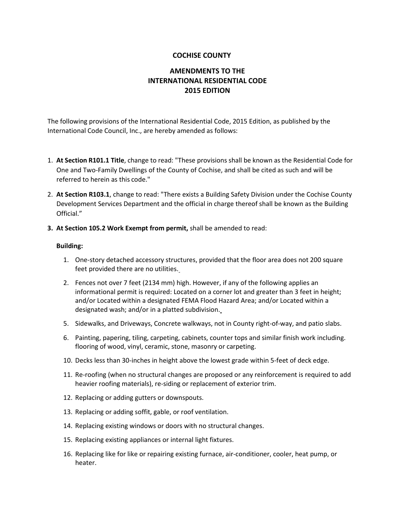# **AMENDMENTS TO THE INTERNATIONAL RESIDENTIAL CODE 2015 EDITION**

The following provisions of the International Residential Code, 2015 Edition, as published by the International Code Council, Inc., are hereby amended as follows:

- 1. **At Section R101.1 Title**, change to read: "These provisions shall be known as the Residential Code for One and Two-Family Dwellings of the County of Cochise, and shall be cited as such and will be referred to herein as this code."
- 2. **At Section R103.1**, change to read: "There exists a Building Safety Division under the Cochise County Development Services Department and the official in charge thereof shall be known as the Building Official."
- **3. At Section 105.2 Work Exempt from permit,** shall be amended to read:

#### **Building:**

- 1. One-story detached accessory structures, provided that the floor area does not 200 square feet provided there are no utilities.
- 2. Fences not over 7 feet (2134 mm) high. However, if any of the following applies an informational permit is required: Located on a corner lot and greater than 3 feet in height; and/or Located within a designated FEMA Flood Hazard Area; and/or Located within a designated wash; and/or in a platted subdivision.
- 5. Sidewalks, and Driveways, Concrete walkways, not in County right-of-way, and patio slabs.
- 6. Painting, papering, tiling, carpeting, cabinets, counter tops and similar finish work including. flooring of wood, vinyl, ceramic, stone, masonry or carpeting.
- 10. Decks less than 30-inches in height above the lowest grade within 5-feet of deck edge.
- 11. Re-roofing (when no structural changes are proposed or any reinforcement is required to add heavier roofing materials), re-siding or replacement of exterior trim.
- 12. Replacing or adding gutters or downspouts.
- 13. Replacing or adding soffit, gable, or roof ventilation.
- 14. Replacing existing windows or doors with no structural changes.
- 15. Replacing existing appliances or internal light fixtures.
- 16. Replacing like for like or repairing existing furnace, air-conditioner, cooler, heat pump, or heater.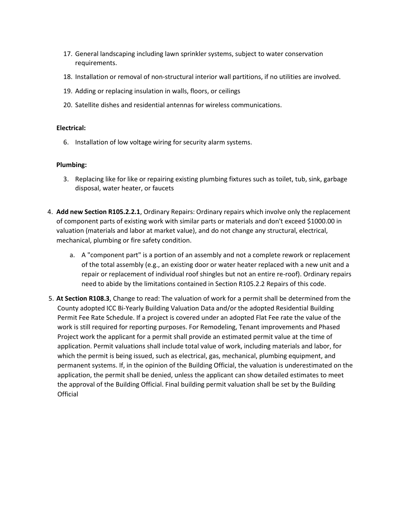- 17. General landscaping including lawn sprinkler systems, subject to water conservation requirements.
- 18. Installation or removal of non-structural interior wall partitions, if no utilities are involved.
- 19. Adding or replacing insulation in walls, floors, or ceilings
- 20. Satellite dishes and residential antennas for wireless communications.

### **Electrical:**

6. Installation of low voltage wiring for security alarm systems.

### **Plumbing:**

- 3. Replacing like for like or repairing existing plumbing fixtures such as toilet, tub, sink, garbage disposal, water heater, or faucets
- 4. **Add new Section R105.2.2.1**, Ordinary Repairs: Ordinary repairs which involve only the replacement of component parts of existing work with similar parts or materials and don't exceed \$1000.00 in valuation (materials and labor at market value), and do not change any structural, electrical, mechanical, plumbing or fire safety condition.
	- a. A "component part" is a portion of an assembly and not a complete rework or replacement of the total assembly (e.g., an existing door or water heater replaced with a new unit and a repair or replacement of individual roof shingles but not an entire re-roof). Ordinary repairs need to abide by the limitations contained in Section R105.2.2 Repairs of this code.
- 5. **At Section R108.3**, Change to read: The valuation of work for a permit shall be determined from the County adopted ICC Bi-Yearly Building Valuation Data and/or the adopted Residential Building Permit Fee Rate Schedule. If a project is covered under an adopted Flat Fee rate the value of the work is still required for reporting purposes. For Remodeling, Tenant improvements and Phased Project work the applicant for a permit shall provide an estimated permit value at the time of application. Permit valuations shall include total value of work, including materials and labor, for which the permit is being issued, such as electrical, gas, mechanical, plumbing equipment, and permanent systems. If, in the opinion of the Building Official, the valuation is underestimated on the application, the permit shall be denied, unless the applicant can show detailed estimates to meet the approval of the Building Official. Final building permit valuation shall be set by the Building **Official**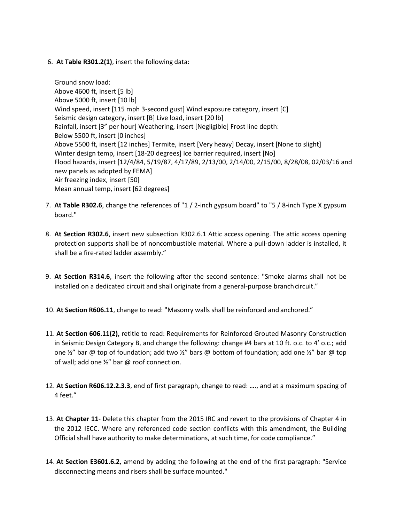### 6. **At Table R301.2(1)**, insert the following data:

Ground snow load: Above 4600 ft, insert [5 lb] Above 5000 ft, insert [10 lb] Wind speed, insert [115 mph 3-second gust] Wind exposure category, insert [C] Seismic design category, insert [B] Live load, insert [20 lb] Rainfall, insert [3" per hour] Weathering, insert [Negligible] Frost line depth: Below 5500 ft, insert [0 inches] Above 5500 ft, insert [12 inches] Termite, insert [Very heavy] Decay, insert [None to slight] Winter design temp, insert [18-20 degrees] Ice barrier required, insert [No] Flood hazards, insert [12/4/84, 5/19/87, 4/17/89, 2/13/00, 2/14/00, 2/15/00, 8/28/08, 02/03/16 and new panels as adopted by FEMA] Air freezing index, insert [50] Mean annual temp, insert [62 degrees]

- 7. **At Table R302.6**, change the references of "1 / 2-inch gypsum board" to "5 / 8-inch Type X gypsum board."
- 8. **At Section R302.6**, insert new subsection R302.6.1 Attic access opening. The attic access opening protection supports shall be of noncombustible material. Where a pull-down ladder is installed, it shall be a fire-rated ladder assembly."
- 9. **At Section R314.6**, insert the following after the second sentence: "Smoke alarms shall not be installed on a dedicated circuit and shall originate from a general-purpose branch circuit."
- 10. **At Section R606.11**, change to read: "Masonry walls shall be reinforced and anchored."
- 11. **At Section 606.11(2),** retitle to read: Requirements for Reinforced Grouted Masonry Construction in Seismic Design Category B, and change the following: change #4 bars at 10 ft. o.c. to 4' o.c.; add one  $\frac{1}{2}$ " bar @ top of foundation; add two  $\frac{1}{2}$ " bars @ bottom of foundation; add one  $\frac{1}{2}$ " bar @ top of wall; add one ½" bar @ roof connection.
- 12. **At Section R606.12.2.3.3**, end of first paragraph, change to read: …., and at a maximum spacing of 4 feet."
- 13. **At Chapter 11** Delete this chapter from the 2015 IRC and revert to the provisions of Chapter 4 in the 2012 IECC. Where any referenced code section conflicts with this amendment, the Building Official shall have authority to make determinations, at such time, for code compliance."
- 14. **At Section E3601.6.2**, amend by adding the following at the end of the first paragraph: "Service disconnecting means and risers shall be surface mounted."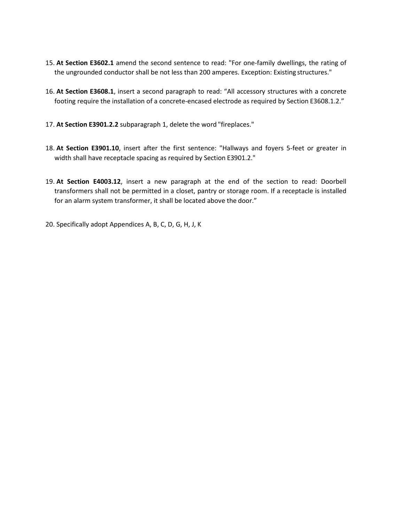- 15. **At Section E3602.1** amend the second sentence to read: "For one-family dwellings, the rating of the ungrounded conductor shall be not less than 200 amperes. Exception: Existing structures."
- 16. **At Section E3608.1**, insert a second paragraph to read: "All accessory structures with a concrete footing require the installation of a concrete-encased electrode as required by Section E3608.1.2."
- 17. **At Section E3901.2.2** subparagraph 1, delete the word "fireplaces."
- 18. **At Section E3901.10**, insert after the first sentence: "Hallways and foyers 5-feet or greater in width shall have receptacle spacing as required by Section E3901.2."
- 19. **At Section E4003.12**, insert a new paragraph at the end of the section to read: Doorbell transformers shall not be permitted in a closet, pantry or storage room. If a receptacle is installed for an alarm system transformer, it shall be located above the door."
- 20. Specifically adopt Appendices A, B, C, D, G, H, J, K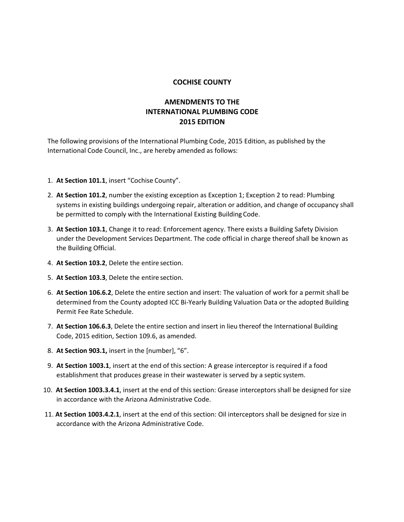# **AMENDMENTS TO THE INTERNATIONAL PLUMBING CODE 2015 EDITION**

The following provisions of the International Plumbing Code, 2015 Edition, as published by the International Code Council, Inc., are hereby amended as follows:

- 1. **At Section 101.1**, insert "Cochise County".
- 2. **At Section 101.2**, number the existing exception as Exception 1; Exception 2 to read: Plumbing systems in existing buildings undergoing repair, alteration or addition, and change of occupancy shall be permitted to comply with the International Existing Building Code.
- 3. **At Section 103.1**, Change it to read: Enforcement agency. There exists a Building Safety Division under the Development Services Department. The code official in charge thereof shall be known as the Building Official.
- 4. **At Section 103.2**, Delete the entire section.
- 5. **At Section 103.3**, Delete the entire section.
- 6. **At Section 106.6.2**, Delete the entire section and insert: The valuation of work for a permit shall be determined from the County adopted ICC Bi-Yearly Building Valuation Data or the adopted Building Permit Fee Rate Schedule.
- 7. **At Section 106.6.3**, Delete the entire section and insert in lieu thereof the International Building Code, 2015 edition, Section 109.6, as amended.
- 8. **At Section 903.1,** insert in the [number], "6".
- 9. **At Section 1003.1**, insert at the end of this section: A grease interceptor is required if a food establishment that produces grease in their wastewater is served by a septic system.
- 10. **At Section 1003.3.4.1**, insert at the end of this section: Grease interceptors shall be designed for size in accordance with the Arizona Administrative Code.
- 11. **At Section 1003.4.2.1**, insert at the end of this section: Oil interceptors shall be designed for size in accordance with the Arizona Administrative Code.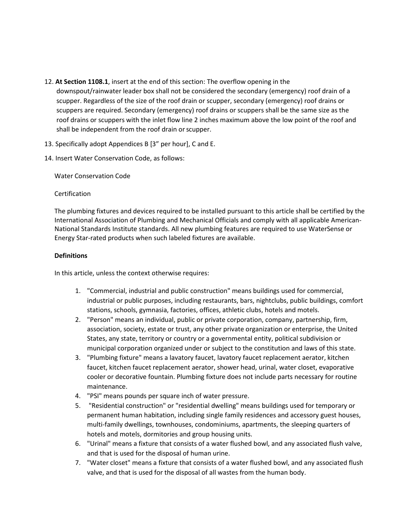- 12. **At Section 1108.1**, insert at the end of this section: The overflow opening in the downspout/rainwater leader box shall not be considered the secondary (emergency) roof drain of a scupper. Regardless of the size of the roof drain or scupper, secondary (emergency) roof drains or scuppers are required. Secondary (emergency) roof drains or scuppers shall be the same size as the roof drains or scuppers with the inlet flow line 2 inches maximum above the low point of the roof and shall be independent from the roof drain or scupper.
- 13. Specifically adopt Appendices B [3" per hour], C and E.
- 14. Insert Water Conservation Code, as follows:

Water Conservation Code

### **Certification**

The plumbing fixtures and devices required to be installed pursuant to this article shall be certified by the International Association of Plumbing and Mechanical Officials and comply with all applicable American-National Standards Institute standards. All new plumbing features are required to use WaterSense or Energy Star-rated products when such labeled fixtures are available.

### **Definitions**

In this article, unless the context otherwise requires:

- 1. "Commercial, industrial and public construction" means buildings used for commercial, industrial or public purposes, including restaurants, bars, nightclubs, public buildings, comfort stations, schools, gymnasia, factories, offices, athletic clubs, hotels and motels.
- 2. "Person" means an individual, public or private corporation, company, partnership, firm, association, society, estate or trust, any other private organization or enterprise, the United States, any state, territory or country or a governmental entity, political subdivision or municipal corporation organized under or subject to the constitution and laws of this state.
- 3. "Plumbing fixture" means a lavatory faucet, lavatory faucet replacement aerator, kitchen faucet, kitchen faucet replacement aerator, shower head, urinal, water closet, evaporative cooler or decorative fountain. Plumbing fixture does not include parts necessary for routine maintenance.
- 4. "PSI" means pounds per square inch of water pressure.
- 5. "Residential construction" or "residential dwelling" means buildings used for temporary or permanent human habitation, including single family residences and accessory guest houses, multi-family dwellings, townhouses, condominiums, apartments, the sleeping quarters of hotels and motels, dormitories and group housing units.
- 6. "Urinal" means a fixture that consists of a water flushed bowl, and any associated flush valve, and that is used for the disposal of human urine.
- 7. "Water closet" means a fixture that consists of a water flushed bowl, and any associated flush valve, and that is used for the disposal of all wastes from the human body.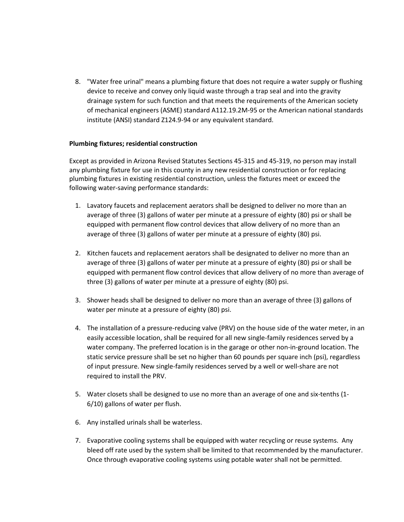8. "Water free urinal" means a plumbing fixture that does not require a water supply or flushing device to receive and convey only liquid waste through a trap seal and into the gravity drainage system for such function and that meets the requirements of the American society of mechanical engineers (ASME) standard A112.19.2M-95 or the American national standards institute (ANSI) standard Z124.9-94 or any equivalent standard.

### **Plumbing fixtures; residential construction**

Except as provided in Arizona Revised Statutes Sections 45-315 and 45-319, no person may install any plumbing fixture for use in this county in any new residential construction or for replacing plumbing fixtures in existing residential construction, unless the fixtures meet or exceed the following water-saving performance standards:

- 1. Lavatory faucets and replacement aerators shall be designed to deliver no more than an average of three (3) gallons of water per minute at a pressure of eighty (80) psi or shall be equipped with permanent flow control devices that allow delivery of no more than an average of three (3) gallons of water per minute at a pressure of eighty (80) psi.
- 2. Kitchen faucets and replacement aerators shall be designated to deliver no more than an average of three (3) gallons of water per minute at a pressure of eighty (80) psi or shall be equipped with permanent flow control devices that allow delivery of no more than average of three (3) gallons of water per minute at a pressure of eighty (80) psi.
- 3. Shower heads shall be designed to deliver no more than an average of three (3) gallons of water per minute at a pressure of eighty (80) psi.
- 4. The installation of a pressure-reducing valve (PRV) on the house side of the water meter, in an easily accessible location, shall be required for all new single-family residences served by a water company. The preferred location is in the garage or other non-in-ground location. The static service pressure shall be set no higher than 60 pounds per square inch (psi), regardless of input pressure. New single-family residences served by a well or well-share are not required to install the PRV.
- 5. Water closets shall be designed to use no more than an average of one and six-tenths (1- 6/10) gallons of water per flush.
- 6. Any installed urinals shall be waterless.
- 7. Evaporative cooling systems shall be equipped with water recycling or reuse systems. Any bleed off rate used by the system shall be limited to that recommended by the manufacturer. Once through evaporative cooling systems using potable water shall not be permitted.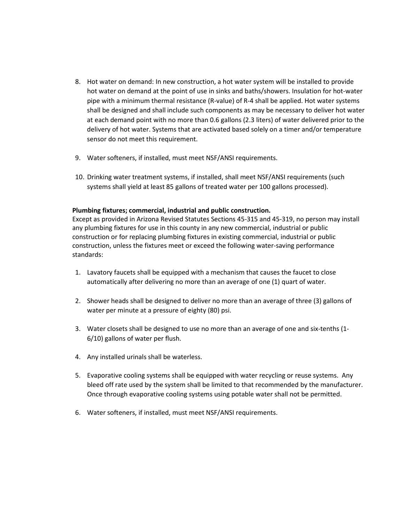- 8. Hot water on demand: In new construction, a hot water system will be installed to provide hot water on demand at the point of use in sinks and baths/showers. Insulation for hot-water pipe with a minimum thermal resistance (R-value) of R-4 shall be applied. Hot water systems shall be designed and shall include such components as may be necessary to deliver hot water at each demand point with no more than 0.6 gallons (2.3 liters) of water delivered prior to the delivery of hot water. Systems that are activated based solely on a timer and/or temperature sensor do not meet this requirement.
- 9. Water softeners, if installed, must meet NSF/ANSI requirements.
- 10. Drinking water treatment systems, if installed, shall meet NSF/ANSI requirements (such systems shall yield at least 85 gallons of treated water per 100 gallons processed).

#### **Plumbing fixtures; commercial, industrial and public construction.**

Except as provided in Arizona Revised Statutes Sections 45-315 and 45-319, no person may install any plumbing fixtures for use in this county in any new commercial, industrial or public construction or for replacing plumbing fixtures in existing commercial, industrial or public construction, unless the fixtures meet or exceed the following water-saving performance standards:

- 1. Lavatory faucets shall be equipped with a mechanism that causes the faucet to close automatically after delivering no more than an average of one (1) quart of water.
- 2. Shower heads shall be designed to deliver no more than an average of three (3) gallons of water per minute at a pressure of eighty (80) psi.
- 3. Water closets shall be designed to use no more than an average of one and six-tenths (1- 6/10) gallons of water per flush.
- 4. Any installed urinals shall be waterless.
- 5. Evaporative cooling systems shall be equipped with water recycling or reuse systems. Any bleed off rate used by the system shall be limited to that recommended by the manufacturer. Once through evaporative cooling systems using potable water shall not be permitted.
- 6. Water softeners, if installed, must meet NSF/ANSI requirements.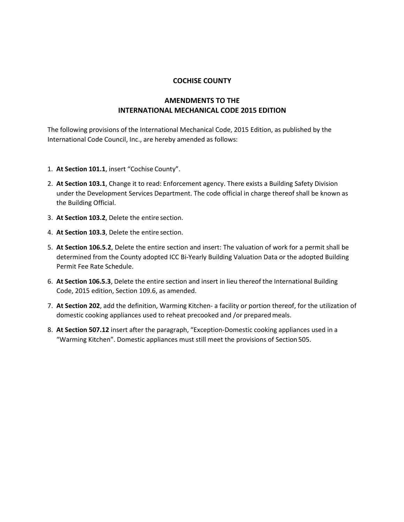# **AMENDMENTS TO THE INTERNATIONAL MECHANICAL CODE 2015 EDITION**

The following provisions of the International Mechanical Code, 2015 Edition, as published by the International Code Council, Inc., are hereby amended as follows:

- 1. **At Section 101.1**, insert "Cochise County".
- 2. **At Section 103.1**, Change it to read: Enforcement agency. There exists a Building Safety Division under the Development Services Department. The code official in charge thereof shall be known as the Building Official.
- 3. **At Section 103.2**, Delete the entire section.
- 4. **At Section 103.3**, Delete the entire section.
- 5. **At Section 106.5.2**, Delete the entire section and insert: The valuation of work for a permit shall be determined from the County adopted ICC Bi-Yearly Building Valuation Data or the adopted Building Permit Fee Rate Schedule.
- 6. **At Section 106.5.3**, Delete the entire section and insert in lieu thereof the International Building Code, 2015 edition, Section 109.6, as amended.
- 7. **At Section 202**, add the definition, Warming Kitchen- a facility or portion thereof, for the utilization of domestic cooking appliances used to reheat precooked and /or preparedmeals.
- 8. **At Section 507.12** insert after the paragraph, "Exception-Domestic cooking appliances used in a "Warming Kitchen". Domestic appliances must still meet the provisions of Section 505.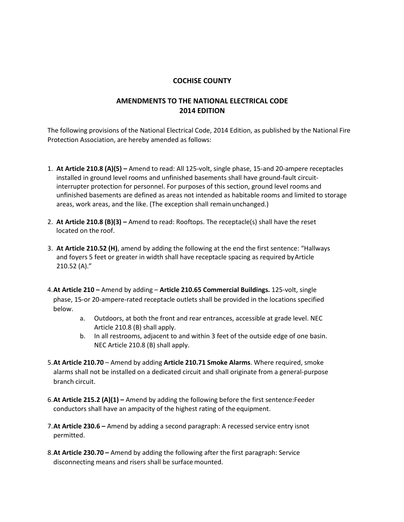# **AMENDMENTS TO THE NATIONAL ELECTRICAL CODE 2014 EDITION**

The following provisions of the National Electrical Code, 2014 Edition, as published by the National Fire Protection Association, are hereby amended as follows:

- 1. **At Article 210.8 (A)(5) –** Amend to read: All 125-volt, single phase, 15-and 20-ampere receptacles installed in ground level rooms and unfinished basements shall have ground-fault circuitinterrupter protection for personnel. For purposes of this section, ground level rooms and unfinished basements are defined as areas not intended as habitable rooms and limited to storage areas, work areas, and the like. (The exception shall remain unchanged.)
- 2. **At Article 210.8 (B)(3) –** Amend to read: Rooftops. The receptacle(s) shall have the reset located on the roof.
- 3. **At Article 210.52 (H)**, amend by adding the following at the end the first sentence: "Hallways and foyers 5 feet or greater in width shall have receptacle spacing as required by Article 210.52 (A)."
- 4.**At Article 210 –** Amend by adding **Article 210.65 Commercial Buildings.** 125-volt, single phase, 15-or 20-ampere-rated receptacle outlets shall be provided in the locations specified below.
	- a. Outdoors, at both the front and rear entrances, accessible at grade level. NEC Article 210.8 (B) shall apply.
	- b. In all restrooms, adjacent to and within 3 feet of the outside edge of one basin. NEC Article 210.8 (B) shall apply.
- 5.**At Article 210.70**  Amend by adding **Article 210.71 Smoke Alarms**. Where required, smoke alarms shall not be installed on a dedicated circuit and shall originate from a general-purpose branch circuit.
- 6.**At Article 215.2 (A)(1) –** Amend by adding the following before the first sentence:Feeder conductors shall have an ampacity of the highest rating of the equipment.
- 7.**At Article 230.6 –** Amend by adding a second paragraph: A recessed service entry isnot permitted.
- 8.**At Article 230.70 –** Amend by adding the following after the first paragraph: Service disconnecting means and risers shall be surface mounted.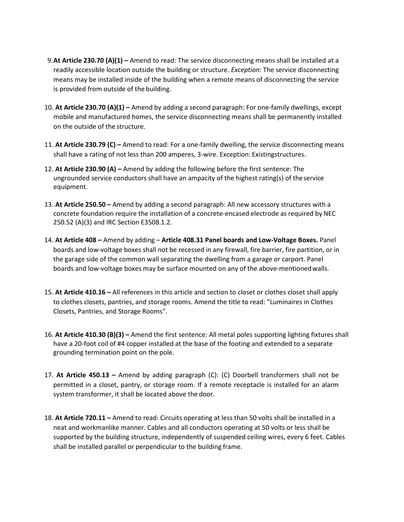- 9.**At Article 230.70 (A)(1) –** Amend to read: The service disconnecting means shall be installed at a readily accessible location outside the building or structure. *Exception:* The service disconnecting means may be installed inside of the building when a remote means of disconnecting the service is provided from outside of the building.
- 10. **At Article 230.70 (A)(1) –** Amend by adding a second paragraph: For one-family dwellings, except mobile and manufactured homes, the service disconnecting means shall be permanently installed on the outside of the structure.
- 11. **At Article 230.79 (C) –** Amend to read: For a one-family dwelling, the service disconnecting means shall have a rating of not less than 200 amperes, 3-wire. Exception: Existingstructures.
- 12. **At Article 230.90 (A) –** Amend by adding the following before the first sentence: The ungrounded service conductors shall have an ampacity of the highest rating(s) of theservice equipment.
- 13. **At Article 250.50 –** Amend by adding a second paragraph: All new accessory structures with a concrete foundation require the installation of a concrete-encased electrode as required by NEC 250.52 (A)(3) and IRC Section E3508.1.2.
- 14. **At Article 408 –** Amend by adding **Article 408.31 Panel boards and Low-Voltage Boxes.** Panel boards and low-voltage boxes shall not be recessed in any firewall, fire barrier, fire partition, or in the garage side of the common wall separating the dwelling from a garage or carport. Panel boards and low-voltage boxes may be surface mounted on any of the above-mentionedwalls.
- 15. **At Article 410.16 –** All references in this article and section to closet or clothes closet shall apply to clothes closets, pantries, and storage rooms. Amend the title to read: "Luminaires in Clothes Closets, Pantries, and Storage Rooms".
- 16. **At Article 410.30 (B)(3) –** Amend the first sentence: All metal poles supporting lighting fixtures shall have a 20-foot coil of #4 copper installed at the base of the footing and extended to a separate grounding termination point on the pole.
- 17. **At Article 450.13 –** Amend by adding paragraph (C): (C) Doorbell transformers shall not be permitted in a closet, pantry, or storage room. If a remote receptacle is installed for an alarm system transformer, it shall be located above the door.
- 18. **At Article 720.11 –** Amend to read: Circuits operating at less than 50 volts shall be installed in a neat and workmanlike manner. Cables and all conductors operating at 50 volts or less shall be supported by the building structure, independently of suspended ceiling wires, every 6 feet. Cables shall be installed parallel or perpendicular to the building frame.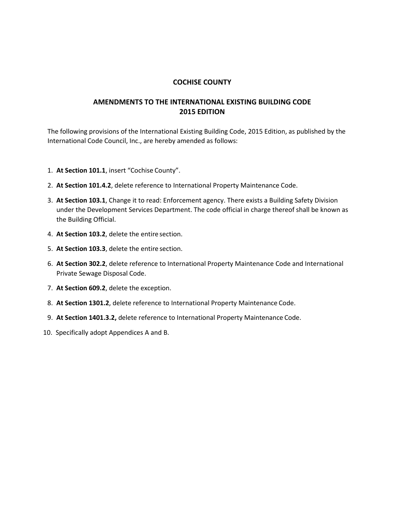## **AMENDMENTS TO THE INTERNATIONAL EXISTING BUILDING CODE 2015 EDITION**

The following provisions of the International Existing Building Code, 2015 Edition, as published by the International Code Council, Inc., are hereby amended as follows:

- 1. **At Section 101.1**, insert "Cochise County".
- 2. **At Section 101.4.2**, delete reference to International Property Maintenance Code.
- 3. **At Section 103.1**, Change it to read: Enforcement agency. There exists a Building Safety Division under the Development Services Department. The code official in charge thereof shall be known as the Building Official.
- 4. **At Section 103.2**, delete the entire section.
- 5. **At Section 103.3**, delete the entire section.
- 6. **At Section 302.2**, delete reference to International Property Maintenance Code and International Private Sewage Disposal Code.
- 7. **At Section 609.2**, delete the exception.
- 8. **At Section 1301.2**, delete reference to International Property Maintenance Code.
- 9. **At Section 1401.3.2,** delete reference to International Property Maintenance Code.
- 10. Specifically adopt Appendices A and B.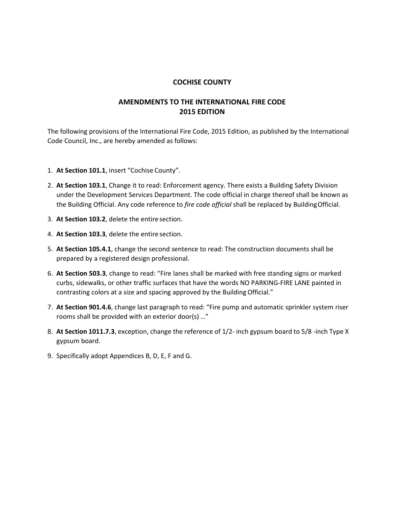# **AMENDMENTS TO THE INTERNATIONAL FIRE CODE 2015 EDITION**

The following provisions of the International Fire Code, 2015 Edition, as published by the International Code Council, Inc., are hereby amended as follows:

- 1. **At Section 101.1**, insert "Cochise County".
- 2. **At Section 103.1**, Change it to read: Enforcement agency. There exists a Building Safety Division under the Development Services Department. The code official in charge thereof shall be known as the Building Official. Any code reference to *fire code official* shall be replaced by BuildingOfficial.
- 3. **At Section 103.2**, delete the entire section.
- 4. **At Section 103.3**, delete the entire section.
- 5. **At Section 105.4.1**, change the second sentence to read: The construction documents shall be prepared by a registered design professional.
- 6. **At Section 503.3**, change to read: "Fire lanes shall be marked with free standing signs or marked curbs, sidewalks, or other traffic surfaces that have the words NO PARKING-FIRE LANE painted in contrasting colors at a size and spacing approved by the Building Official."
- 7. **At Section 901.4.6**, change last paragraph to read: "Fire pump and automatic sprinkler system riser rooms shall be provided with an exterior door(s) …"
- 8. **At Section 1011.7.3**, exception, change the reference of 1/2- inch gypsum board to 5/8 -inch Type X gypsum board.
- 9. Specifically adopt Appendices B, D, E, F and G.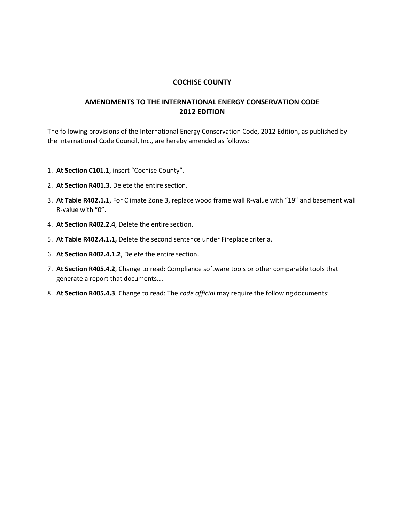## **AMENDMENTS TO THE INTERNATIONAL ENERGY CONSERVATION CODE 2012 EDITION**

The following provisions of the International Energy Conservation Code, 2012 Edition, as published by the International Code Council, Inc., are hereby amended as follows:

- 1. **At Section C101.1**, insert "Cochise County".
- 2. **At Section R401.3**, Delete the entire section.
- 3. **At Table R402.1.1**, For Climate Zone 3, replace wood frame wall R-value with "19" and basement wall R-value with "0".
- 4. **At Section R402.2.4**, Delete the entire section.
- 5. **At Table R402.4.1.1,** Delete the second sentence under Fireplace criteria.
- 6. **At Section R402.4.1.2**, Delete the entire section.
- 7. **At Section R405.4.2**, Change to read: Compliance software tools or other comparable tools that generate a report that documents….
- 8. **At Section R405.4.3**, Change to read: The *code official* may require the followingdocuments: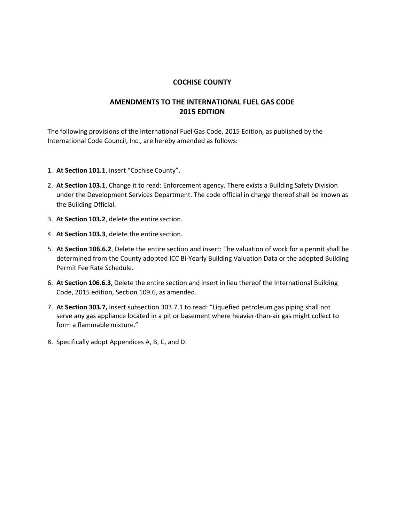## **AMENDMENTS TO THE INTERNATIONAL FUEL GAS CODE 2015 EDITION**

The following provisions of the International Fuel Gas Code, 2015 Edition, as published by the International Code Council, Inc., are hereby amended as follows:

- 1. **At Section 101.1**, insert "Cochise County".
- 2. **At Section 103.1**, Change it to read: Enforcement agency. There exists a Building Safety Division under the Development Services Department. The code official in charge thereof shall be known as the Building Official.
- 3. **At Section 103.2**, delete the entire section.
- 4. **At Section 103.3**, delete the entire section.
- 5. **At Section 106.6.2**, Delete the entire section and insert: The valuation of work for a permit shall be determined from the County adopted ICC Bi-Yearly Building Valuation Data or the adopted Building Permit Fee Rate Schedule.
- 6. **At Section 106.6.3**, Delete the entire section and insert in lieu thereof the International Building Code, 2015 edition, Section 109.6, as amended.
- 7. **At Section 303.7,** insert subsection 303.7.1 to read: "Liquefied petroleum gas piping shall not serve any gas appliance located in a pit or basement where heavier-than-air gas might collect to form a flammable mixture."
- 8. Specifically adopt Appendices A, B, C, and D.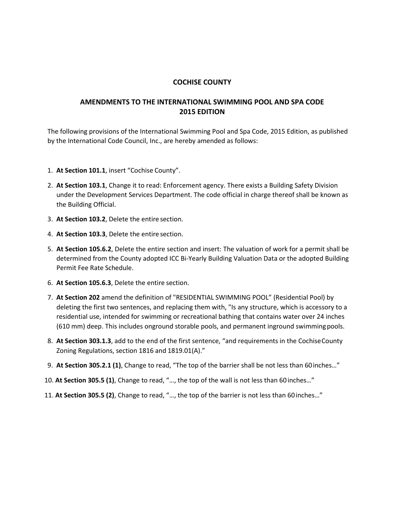### **AMENDMENTS TO THE INTERNATIONAL SWIMMING POOL AND SPA CODE 2015 EDITION**

The following provisions of the International Swimming Pool and Spa Code, 2015 Edition, as published by the International Code Council, Inc., are hereby amended as follows:

- 1. **At Section 101.1**, insert "Cochise County".
- 2. **At Section 103.1**, Change it to read: Enforcement agency. There exists a Building Safety Division under the Development Services Department. The code official in charge thereof shall be known as the Building Official.
- 3. **At Section 103.2**, Delete the entire section.
- 4. **At Section 103.3**, Delete the entire section.
- 5. **At Section 105.6.2**, Delete the entire section and insert: The valuation of work for a permit shall be determined from the County adopted ICC Bi-Yearly Building Valuation Data or the adopted Building Permit Fee Rate Schedule.
- 6. **At Section 105.6.3**, Delete the entire section.
- 7. **At Section 202** amend the definition of "RESIDENTIAL SWIMMING POOL" (Residential Pool) by deleting the first two sentences, and replacing them with, "Is any structure, which is accessory to a residential use, intended for swimming or recreational bathing that contains water over 24 inches (610 mm) deep. This includes onground storable pools, and permanent inground swimming pools.
- 8. **At Section 303.1.3**, add to the end of the first sentence, "and requirements in the CochiseCounty Zoning Regulations, section 1816 and 1819.01(A)."
- 9. **At Section 305.2.1 (1)**, Change to read, "The top of the barrier shall be not less than 60inches…"
- 10. **At Section 305.5 (1)**, Change to read, "…, the top of the wall is not less than 60 inches…"
- 11. **At Section 305.5 (2)**, Change to read, "…, the top of the barrier is not less than 60inches…"